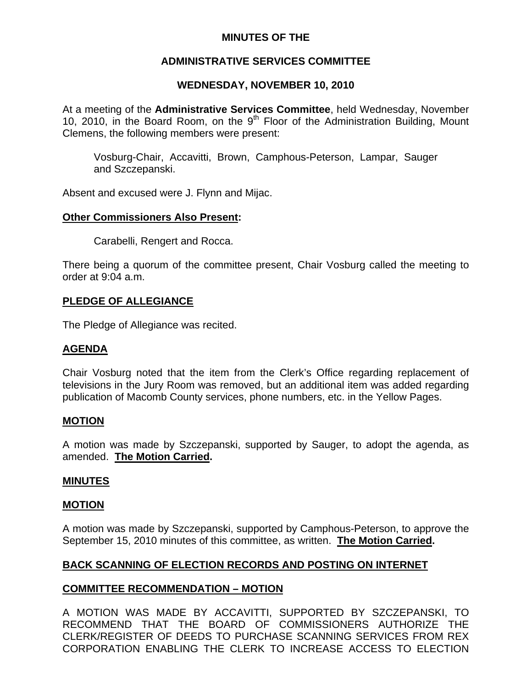# **MINUTES OF THE**

# **ADMINISTRATIVE SERVICES COMMITTEE**

# **WEDNESDAY, NOVEMBER 10, 2010**

At a meeting of the **Administrative Services Committee**, held Wednesday, November 10, 2010, in the Board Room, on the  $9<sup>th</sup>$  Floor of the Administration Building, Mount Clemens, the following members were present:

Vosburg-Chair, Accavitti, Brown, Camphous-Peterson, Lampar, Sauger and Szczepanski.

Absent and excused were J. Flynn and Mijac.

### **Other Commissioners Also Present:**

Carabelli, Rengert and Rocca.

There being a quorum of the committee present, Chair Vosburg called the meeting to order at 9:04 a.m.

### **PLEDGE OF ALLEGIANCE**

The Pledge of Allegiance was recited.

# **AGENDA**

Chair Vosburg noted that the item from the Clerk's Office regarding replacement of televisions in the Jury Room was removed, but an additional item was added regarding publication of Macomb County services, phone numbers, etc. in the Yellow Pages.

#### **MOTION**

A motion was made by Szczepanski, supported by Sauger, to adopt the agenda, as amended. **The Motion Carried.** 

#### **MINUTES**

#### **MOTION**

A motion was made by Szczepanski, supported by Camphous-Peterson, to approve the September 15, 2010 minutes of this committee, as written. **The Motion Carried.** 

# **BACK SCANNING OF ELECTION RECORDS AND POSTING ON INTERNET**

#### **COMMITTEE RECOMMENDATION – MOTION**

A MOTION WAS MADE BY ACCAVITTI, SUPPORTED BY SZCZEPANSKI, TO RECOMMEND THAT THE BOARD OF COMMISSIONERS AUTHORIZE THE CLERK/REGISTER OF DEEDS TO PURCHASE SCANNING SERVICES FROM REX CORPORATION ENABLING THE CLERK TO INCREASE ACCESS TO ELECTION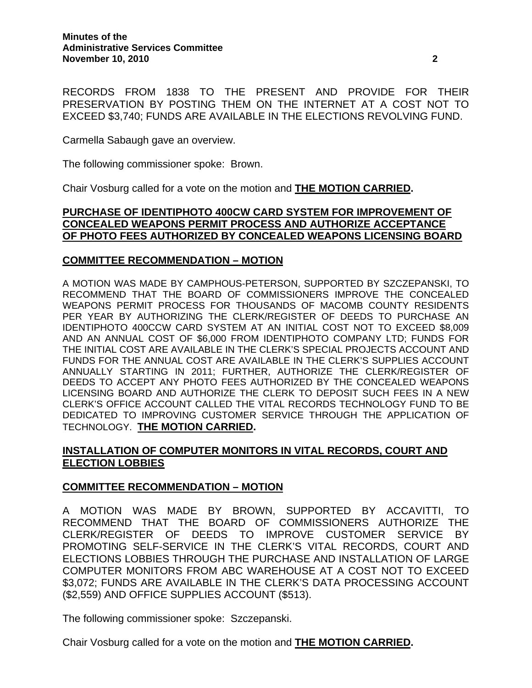RECORDS FROM 1838 TO THE PRESENT AND PROVIDE FOR THEIR PRESERVATION BY POSTING THEM ON THE INTERNET AT A COST NOT TO EXCEED \$3,740; FUNDS ARE AVAILABLE IN THE ELECTIONS REVOLVING FUND.

Carmella Sabaugh gave an overview.

The following commissioner spoke: Brown.

Chair Vosburg called for a vote on the motion and **THE MOTION CARRIED.** 

## **PURCHASE OF IDENTIPHOTO 400CW CARD SYSTEM FOR IMPROVEMENT OF CONCEALED WEAPONS PERMIT PROCESS AND AUTHORIZE ACCEPTANCE OF PHOTO FEES AUTHORIZED BY CONCEALED WEAPONS LICENSING BOARD**

#### **COMMITTEE RECOMMENDATION – MOTION**

A MOTION WAS MADE BY CAMPHOUS-PETERSON, SUPPORTED BY SZCZEPANSKI, TO RECOMMEND THAT THE BOARD OF COMMISSIONERS IMPROVE THE CONCEALED WEAPONS PERMIT PROCESS FOR THOUSANDS OF MACOMB COUNTY RESIDENTS PER YEAR BY AUTHORIZING THE CLERK/REGISTER OF DEEDS TO PURCHASE AN IDENTIPHOTO 400CCW CARD SYSTEM AT AN INITIAL COST NOT TO EXCEED \$8,009 AND AN ANNUAL COST OF \$6,000 FROM IDENTIPHOTO COMPANY LTD; FUNDS FOR THE INITIAL COST ARE AVAILABLE IN THE CLERK'S SPECIAL PROJECTS ACCOUNT AND FUNDS FOR THE ANNUAL COST ARE AVAILABLE IN THE CLERK'S SUPPLIES ACCOUNT ANNUALLY STARTING IN 2011; FURTHER, AUTHORIZE THE CLERK/REGISTER OF DEEDS TO ACCEPT ANY PHOTO FEES AUTHORIZED BY THE CONCEALED WEAPONS LICENSING BOARD AND AUTHORIZE THE CLERK TO DEPOSIT SUCH FEES IN A NEW CLERK'S OFFICE ACCOUNT CALLED THE VITAL RECORDS TECHNOLOGY FUND TO BE DEDICATED TO IMPROVING CUSTOMER SERVICE THROUGH THE APPLICATION OF TECHNOLOGY. **THE MOTION CARRIED.**

# **INSTALLATION OF COMPUTER MONITORS IN VITAL RECORDS, COURT AND ELECTION LOBBIES**

#### **COMMITTEE RECOMMENDATION – MOTION**

A MOTION WAS MADE BY BROWN, SUPPORTED BY ACCAVITTI, TO RECOMMEND THAT THE BOARD OF COMMISSIONERS AUTHORIZE THE CLERK/REGISTER OF DEEDS TO IMPROVE CUSTOMER SERVICE BY PROMOTING SELF-SERVICE IN THE CLERK'S VITAL RECORDS, COURT AND ELECTIONS LOBBIES THROUGH THE PURCHASE AND INSTALLATION OF LARGE COMPUTER MONITORS FROM ABC WAREHOUSE AT A COST NOT TO EXCEED \$3,072; FUNDS ARE AVAILABLE IN THE CLERK'S DATA PROCESSING ACCOUNT (\$2,559) AND OFFICE SUPPLIES ACCOUNT (\$513).

The following commissioner spoke: Szczepanski.

Chair Vosburg called for a vote on the motion and **THE MOTION CARRIED.**